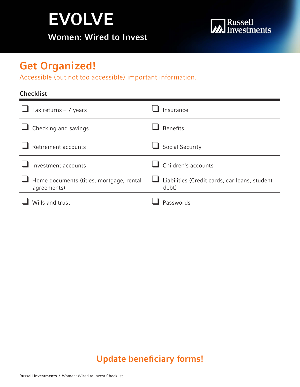# EVOLVE Women: Wired to Invest



# Get Organized!

Accessible (but not too accessible) important information.

### **Checklist**

| Tax returns $-7$ years                                  | Insurance                                              |
|---------------------------------------------------------|--------------------------------------------------------|
| Checking and savings                                    | <b>Benefits</b>                                        |
| Retirement accounts                                     | <b>Social Security</b>                                 |
| Investment accounts                                     | Children's accounts                                    |
| Home documents (titles, mortgage, rental<br>agreements) | Liabilities (Credit cards, car loans, student<br>debt) |
| Wills and trust                                         | Passwords                                              |

### Update beneficiary forms!